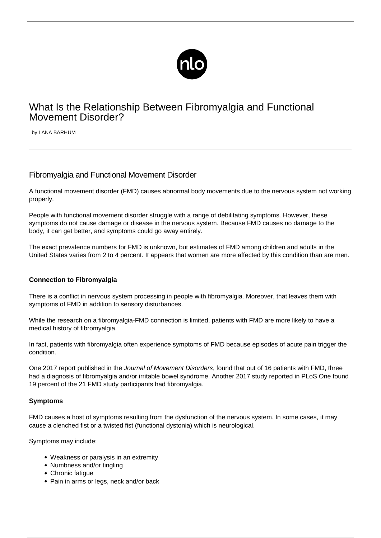

# What Is the Relationship Between Fibromyalgia and Functional Movement Disorder?

by LANA BARHUM

# Fibromyalgia and Functional Movement Disorder

A functional movement disorder (FMD) causes abnormal body movements due to the nervous system not working properly.

People with functional movement disorder struggle with a range of debilitating symptoms. However, these symptoms do not cause damage or disease in the nervous system. Because FMD causes no damage to the body, it can get better, and symptoms could go away entirely.

The exact prevalence numbers for FMD is unknown, but estimates of FMD among children and adults in the United States varies from 2 to 4 percent. It appears that women are more affected by this condition than are men.

#### **Connection to Fibromyalgia**

There is a conflict in nervous system processing in people with fibromyalgia. Moreover, that leaves them with symptoms of FMD in addition to sensory disturbances.

While the research on a fibromyalgia-FMD connection is limited, patients with FMD are more likely to have a medical history of fibromyalgia.

In fact, patients with fibromyalgia often [experience symptoms of FMD](/what-does-fibromyalgia-feel-like/) because episodes of [acute pain](/habits-relieve-pain/) trigger the condition.

One 2017 report published in the Journal of Movement Disorders, found that out of 16 patients with FMD, three had a diagnosis of fibromyalgia and/or irritable bowel syndrome. Another 2017 study reported in PLoS One found 19 percent of the 21 FMD study participants had fibromyalgia.

#### **Symptoms**

FMD causes a host of symptoms resulting from the dysfunction of the nervous system. In some cases, it may cause a clenched fist or a twisted fist (functional dystonia) which is neurological.

Symptoms may include:

- Weakness or paralysis in an extremity
- Numbness and/or tingling
- Chronic fatique
- Pain in arms or legs, neck and/or back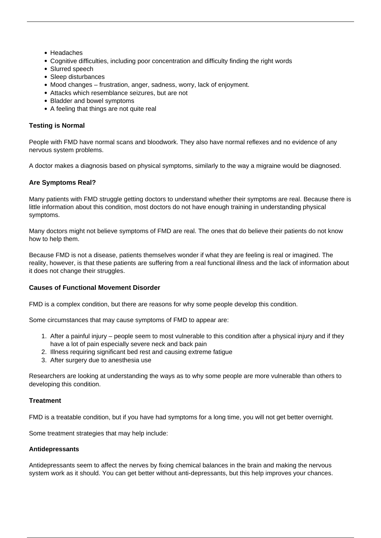- Headaches
- Cognitive difficulties, including poor concentration and difficulty finding the right words
- Slurred speech
- Sleep disturbances
- Mood changes frustration, anger, sadness, worry, lack of enjoyment.
- Attacks which resemblance seizures, but are not
- Bladder and bowel symptoms
- A feeling that things are not quite real

## **Testing is Normal**

People with FMD have normal scans and bloodwork. They also have normal reflexes and no evidence of any nervous system problems.

A doctor makes a diagnosis based on physical symptoms, similarly to the way a migraine would be diagnosed.

## **Are Symptoms Real?**

Many patients with FMD struggle getting doctors to understand whether their symptoms are real. Because there is little information about this condition, most doctors do not have enough training in understanding physical symptoms.

Many doctors might not believe symptoms of FMD are real. The ones that do believe their patients do not know how to help them.

Because FMD is not a disease, patients themselves wonder if what they are feeling is real or imagined. The reality, however, is that these patients are suffering from a real functional illness and the lack of information about it does not change their struggles.

#### **Causes of Functional Movement Disorder**

FMD is a complex condition, but there are reasons for why some people develop this condition.

Some circumstances that may cause symptoms of FMD to appear are:

- 1. After a painful injury people seem to most vulnerable to this condition after a physical injury and if they have a lot of pain especially severe neck and back pain
- 2. Illness requiring significant bed rest and causing extreme fatigue
- 3. After surgery due to anesthesia use

Researchers are looking at understanding the ways as to why some people are more vulnerable than others to developing this condition.

#### **Treatment**

FMD is a treatable condition, but if you have had symptoms for a long time, you will not get better overnight.

Some treatment strategies that may help include:

#### **Antidepressants**

Antidepressants seem to affect the nerves by fixing chemical balances in the brain and making the nervous system work as it should. You can get better without anti-depressants, but this help improves your chances.